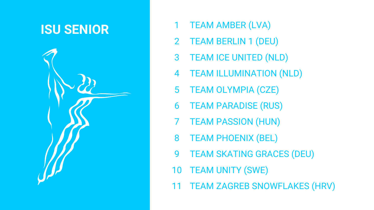# **ISU SENIOR** 1

- TEAM AMBER (LVA)
- 2 TEAM BERLIN 1 (DEU)
- 3 TEAM ICE UNITED (NLD)
- 4 TEAM ILLUMINATION (NLD)
- 5 TEAM OLYMPIA (CZE)
- 6 TEAM PARADISE (RUS)
- 7 TEAM PASSION (HUN)
- 8 TEAM PHOENIX (BEL)
- 9 TEAM SKATING GRACES (DEU)
- 10 TEAM UNITY (SWE)
- 11 TEAM ZAGREB SNOWFLAKES (HRV)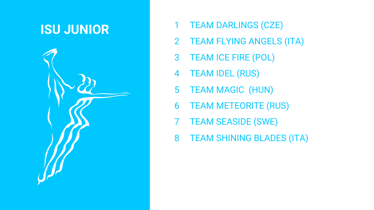# **ISU JUNIOR** 1

- TEAM DARLINGS (CZE)
- 2 TEAM FLYING ANGELS (ITA)
- 3 TEAM ICE FIRE (POL)
- 4 TEAM IDEL (RUS)
- 5 TEAM MAGIC (HUN)
- 6 TEAM METEORITE (RUS)
- 7 TEAM SEASIDE (SWE)
- 8 TEAM SHINING BLADES (ITA)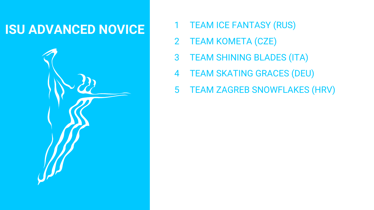# **ISU ADVANCED NOVICE** <sup>1</sup>



- TEAM ICE FANTASY (RUS)
- 2 TEAM KOMETA (CZE)
- 3 TEAM SHINING BLADES (ITA)
- 4 TEAM SKATING GRACES (DEU)
- 5 TEAM ZAGREB SNOWFLAKES (HRV)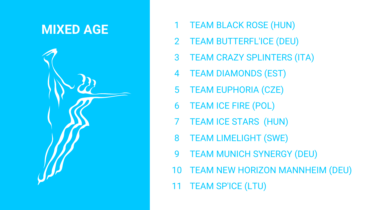### **MIXED AGE** 1



- TEAM BLACK ROSE (HUN)
- 2 TEAM BUTTERFL'ICE (DEU)
- 3 TEAM CRAZY SPLINTERS (ITA)
- 4 TEAM DIAMONDS (EST)
- 5 TEAM EUPHORIA (CZE)
- 6 TEAM ICE FIRE (POL)
- 7 TEAM ICE STARS (HUN)
- 8 TEAM LIMELIGHT (SWE)
- 9 TEAM MUNICH SYNERGY (DEU)
- 10 TEAM NEW HORIZON MANNHEIM (DEU)
- 11 TEAM SP'ICE (LTU)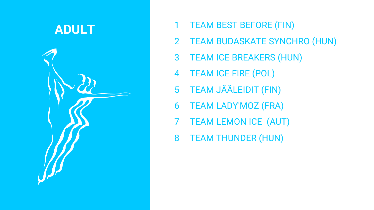### ADULT 1



- TEAM BEST BEFORE (FIN)
- 2 TEAM BUDASKATE SYNCHRO (HUN)
- 3 TEAM ICE BREAKERS (HUN)
- 4 TEAM ICE FIRE (POL)
- 5 TEAM JÄÄLEIDIT (FIN)
- 6 TEAM LADY'MOZ (FRA)
- 7 TEAM LEMON ICE (AUT)
- 8 TEAM THUNDER (HUN)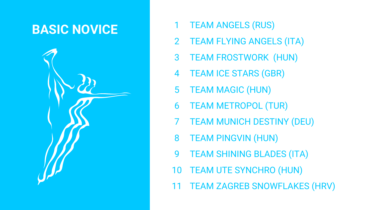### **BASIC NOVICE** 1



- TEAM ANGELS (RUS)
- 2 TEAM FLYING ANGELS (ITA)
- 3 TEAM FROSTWORK (HUN)
- 4 TEAM ICE STARS (GBR)
- 5 TEAM MAGIC (HUN)
- 6 TEAM METROPOL (TUR)
- 7 TEAM MUNICH DESTINY (DEU)
- 8 TEAM PINGVIN (HUN)
- 9 TEAM SHINING BLADES (ITA)
- 10 TEAM UTE SYNCHRO (HUN)
- 11 TEAM ZAGREB SNOWFLAKES (HRV)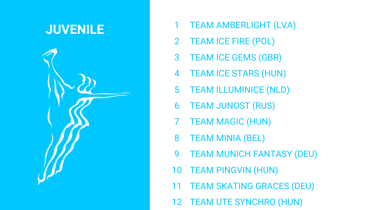### **JUVENILE** 1



- TEAM AMBERLIGHT (LVA)
- 2 TEAM ICE FIRE (POL)
- 3 TEAM ICE GEMS (GBR)
- 4 TEAM ICE STARS (HUN)
- 5 TEAM ILLUMINICE (NLD)
- 6 TEAM JUNOST (RUS)
- 7 TEAM MAGIC (HUN)
- 8 TEAM MINIA (BEL)
- 9 TEAM MUNICH FANTASY (DEU)
- 10 TEAM PINGVIN (HUN)
- 11 TEAM SKATING GRACES (DEU)
- 12 TEAM UTE SYNCHRO (HUN)